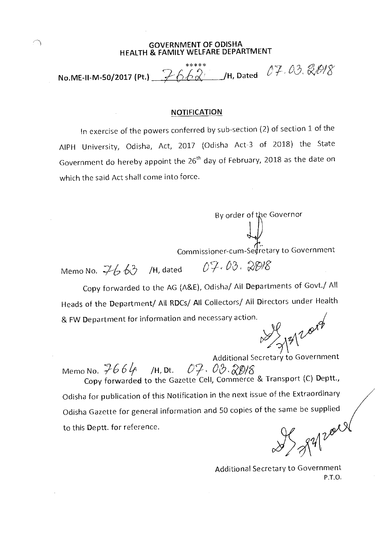## GOVERNMENT OF ODISHA HEALTH & FAMILY WELFARE DEPARTMENT

\*\*\*\*\* No.ME-II-M-50/2017 (Pt.)  $\overbrace{\phantom{a}^2\in\mathbb{C}}^{****}_{\bf\#}\infty$  /H, Dated  $\overline{\phantom{a}^2\!F}$  ,  $\overline{\phantom{a}^3\!G}$ 

## NOTIFICATION

In exercise of the powers conferred by sub-section (2) of section 1 of the AIPH University, Odisha, Act, 2017 (Odisha Act-3 of 2018) the State Government do hereby appoint the 26<sup>th</sup> day of February, 2018 as the date on which the said Act shall come into force.

میں<br>Commissioner-cum-Secretary to Government

By order of the Governor

Memo No.  $7663$  /H, dated  $07.03.208$ 

Copy forwarded to the AG (A&E), Odisha/ All Departments of Govt./ All Heads of the Department/ All RDCs/ All Collectors/ All Directors under Health & FW Department for information and necessary action.

 $3/3120000$ 

Additional Secretary to Government Memo No.  $766$   $46$  /H, Dt.  $07.03.8018$ Copy forwarded to the Gazette Cell, Commerce & Transport (C) Deptt., Odisha for publication of this Notification in the next issue of the Extraordinary Odisha Gazette for general information and 50 copies of the same be supplied to this Deptt. for reference.

IS gapard

Additional Secretary to Government P.T.O.